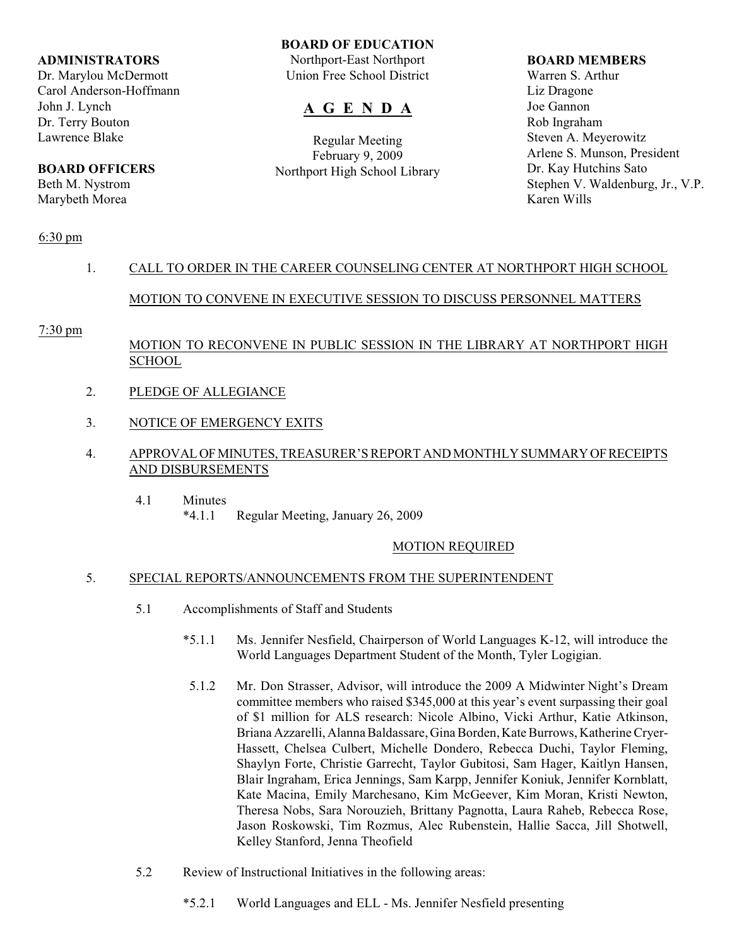## **ADMINISTRATORS**

Dr. Marylou McDermott Carol Anderson-Hoffmann John J. Lynch Dr. Terry Bouton Lawrence Blake

# **BOARD OFFICERS**

Beth M. Nystrom Marybeth Morea

## **BOARD OF EDUCATION**

Northport-East Northport Union Free School District

# **A G E N D A**

Regular Meeting February 9, 2009 Northport High School Library

### **BOARD MEMBERS**

Warren S. Arthur Liz Dragone Joe Gannon Rob Ingraham Steven A. Meyerowitz Arlene S. Munson, President Dr. Kay Hutchins Sato Stephen V. Waldenburg, Jr., V.P. Karen Wills

# 6:30 pm

# 1. CALL TO ORDER IN THE CAREER COUNSELING CENTER AT NORTHPORT HIGH SCHOOL

# MOTION TO CONVENE IN EXECUTIVE SESSION TO DISCUSS PERSONNEL MATTERS

## 7:30 pm

# MOTION TO RECONVENE IN PUBLIC SESSION IN THE LIBRARY AT NORTHPORT HIGH **SCHOOL**

- 2. PLEDGE OF ALLEGIANCE
- 3. NOTICE OF EMERGENCY EXITS
- 4. APPROVAL OF MINUTES, TREASURER'S REPORT AND MONTHLY SUMMARY OF RECEIPTS AND DISBURSEMENTS
	- 4.1 Minutes<br> $*4.1.1$ Regular Meeting, January 26, 2009

## MOTION REQUIRED

## 5. SPECIAL REPORTS/ANNOUNCEMENTS FROM THE SUPERINTENDENT

- 5.1 Accomplishments of Staff and Students
	- \*5.1.1 Ms. Jennifer Nesfield, Chairperson of World Languages K-12, will introduce the World Languages Department Student of the Month, Tyler Logigian.
	- 5.1.2 Mr. Don Strasser, Advisor, will introduce the 2009 A Midwinter Night's Dream committee members who raised \$345,000 at this year's event surpassing their goal of \$1 million for ALS research: Nicole Albino, Vicki Arthur, Katie Atkinson, Briana Azzarelli,Alanna Baldassare,Gina Borden,Kate Burrows, Katherine Cryer-Hassett, Chelsea Culbert, Michelle Dondero, Rebecca Duchi, Taylor Fleming, Shaylyn Forte, Christie Garrecht, Taylor Gubitosi, Sam Hager, Kaitlyn Hansen, Blair Ingraham, Erica Jennings, Sam Karpp, Jennifer Koniuk, Jennifer Kornblatt, Kate Macina, Emily Marchesano, Kim McGeever, Kim Moran, Kristi Newton, Theresa Nobs, Sara Norouzieh, Brittany Pagnotta, Laura Raheb, Rebecca Rose, Jason Roskowski, Tim Rozmus, Alec Rubenstein, Hallie Sacca, Jill Shotwell, Kelley Stanford, Jenna Theofield
- 5.2 Review of Instructional Initiatives in the following areas:
	- \*5.2.1 World Languages and ELL Ms. Jennifer Nesfield presenting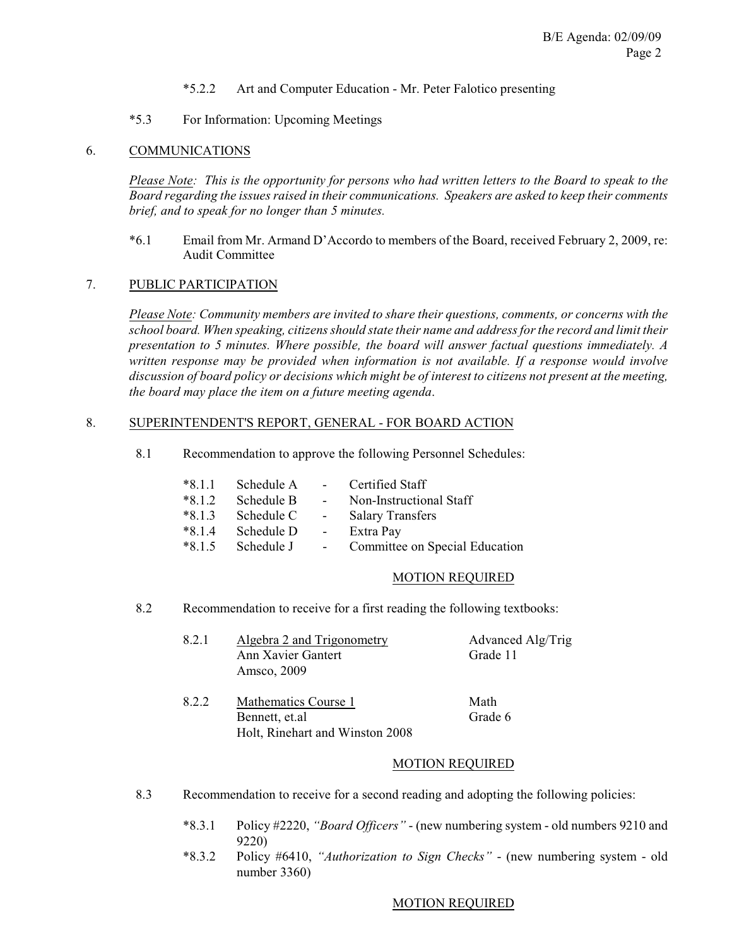- \*5.2.2 Art and Computer Education Mr. Peter Falotico presenting
- \*5.3 For Information: Upcoming Meetings

## 6. COMMUNICATIONS

*Please Note: This is the opportunity for persons who had written letters to the Board to speak to the Board regarding the issues raised in their communications. Speakers are asked to keep their comments brief, and to speak for no longer than 5 minutes.*

\*6.1 Email from Mr. Armand D'Accordo to members of the Board, received February 2, 2009, re: Audit Committee

## 7. PUBLIC PARTICIPATION

*Please Note: Community members are invited to share their questions, comments, or concerns with the school board. When speaking, citizens should state their name and address for the record and limit their presentation to 5 minutes. Where possible, the board will answer factual questions immediately. A written response may be provided when information is not available. If a response would involve discussion of board policy or decisions which might be of interest to citizens not present at the meeting, the board may place the item on a future meeting agenda*.

### 8. SUPERINTENDENT'S REPORT, GENERAL - FOR BOARD ACTION

8.1 Recommendation to approve the following Personnel Schedules:

| $*8.1.1$ | Schedule A | <b>Contractor</b> | Certified Staff                |
|----------|------------|-------------------|--------------------------------|
| $*8.1.2$ | Schedule B | $\sim 100$        | Non-Instructional Staff        |
| $*8.1.3$ | Schedule C | $\sim$ 100 $\mu$  | <b>Salary Transfers</b>        |
| $*8.1.4$ | Schedule D | $\sim$ $-$        | Extra Pay                      |
| $*8.1.5$ | Schedule J | $\sim 10$         | Committee on Special Education |

### MOTION REQUIRED

- 8.2 Recommendation to receive for a first reading the following textbooks:
	- 8.2.1 Algebra 2 and Trigonometry Advanced Alg/Trig Ann Xavier Gantert Grade 11 Amsco, 2009
	- 8.2.2 Mathematics Course 1 Math Bennett, et.al Grade 6 Holt, Rinehart and Winston 2008

## MOTION REQUIRED

- 8.3 Recommendation to receive for a second reading and adopting the following policies:
	- \*8.3.1 Policy #2220, *"Board Officers"* (new numbering system old numbers 9210 and 9220)
	- \*8.3.2 Policy #6410, *"Authorization to Sign Checks"*  (new numbering system old number 3360)

### MOTION REQUIRED